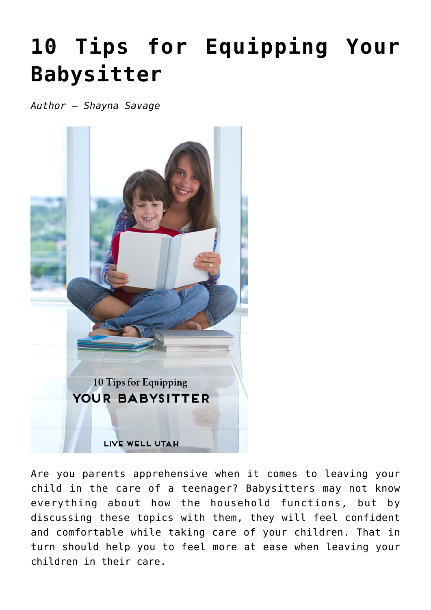## **[10 Tips for Equipping Your](https://livewellutah.org/2014/08/27/10-tips-for-equipping-your-babysitter/) [Babysitter](https://livewellutah.org/2014/08/27/10-tips-for-equipping-your-babysitter/)**

*Author – Shayna Savage*



Are you parents apprehensive when it comes to leaving your child in the care of a teenager? Babysitters may not know everything about how the household functions, but by discussing these topics with them, they will feel confident and comfortable while taking care of your children. That in turn should help you to feel more at ease when leaving your children in their care.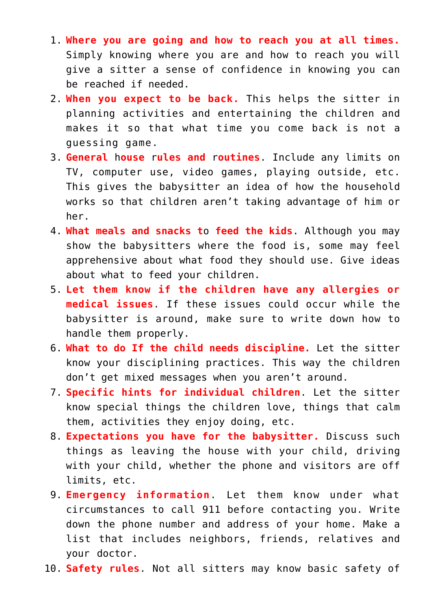- 1. **Where you are going and how to reach you at all times.** Simply knowing where you are and how to reach you will give a sitter a sense of confidence in knowing you can be reached if needed.
- 2. **When you expect to be back.** This helps the sitter in planning activities and entertaining the children and makes it so that what time you come back is not a guessing game.
- 3. **General** h**ouse** r**ules and** r**outines**. Include any limits on TV, computer use, video games, playing outside, etc. This gives the babysitter an idea of how the household works so that children aren't taking advantage of him or her.
- 4. **What meals and snacks t**o **feed the kids**. Although you may show the babysitters where the food is, some may feel apprehensive about what food they should use. Give ideas about what to feed your children.
- 5. **Let them know if the children have any allergies or medical issues**. If these issues could occur while the babysitter is around, make sure to write down how to handle them properly.
- 6. **What to do If the child needs discipline.** Let the sitter know your disciplining practices. This way the children don't get mixed messages when you aren't around.
- 7. **Specific hints for individual children**. Let the sitter know special things the children love, things that calm them, activities they enjoy doing, etc.
- 8. **Expectations you have for the babysitter.** Discuss such things as leaving the house with your child, driving with your child, whether the phone and visitors are off limits, etc.
- 9. **Emergency information**. Let them know under what circumstances to call 911 before contacting you. Write down the phone number and address of your home. Make a list that includes neighbors, friends, relatives and your doctor.
- 10. **Safety rules**. Not all sitters may know basic safety of